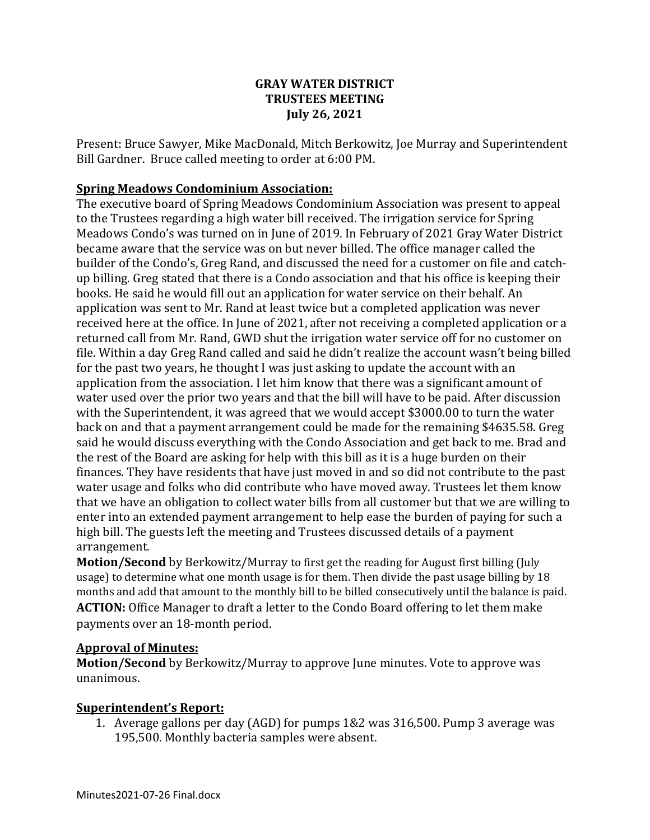### **GRAY WATER DISTRICT TRUSTEES MEETING July 26, 2021**

Present: Bruce Sawyer, Mike MacDonald, Mitch Berkowitz, Joe Murray and Superintendent Bill Gardner. Bruce called meeting to order at 6:00 PM.

### **Spring Meadows Condominium Association:**

The executive board of Spring Meadows Condominium Association was present to appeal to the Trustees regarding a high water bill received. The irrigation service for Spring Meadows Condo's was turned on in June of 2019. In February of 2021 Gray Water District became aware that the service was on but never billed. The office manager called the builder of the Condo's, Greg Rand, and discussed the need for a customer on file and catchup billing. Greg stated that there is a Condo association and that his office is keeping their books. He said he would fill out an application for water service on their behalf. An application was sent to Mr. Rand at least twice but a completed application was never received here at the office. In June of 2021, after not receiving a completed application or a returned call from Mr. Rand, GWD shut the irrigation water service off for no customer on file. Within a day Greg Rand called and said he didn't realize the account wasn't being billed for the past two years, he thought I was just asking to update the account with an application from the association. I let him know that there was a significant amount of water used over the prior two years and that the bill will have to be paid. After discussion with the Superintendent, it was agreed that we would accept \$3000.00 to turn the water back on and that a payment arrangement could be made for the remaining \$4635.58. Greg said he would discuss everything with the Condo Association and get back to me. Brad and the rest of the Board are asking for help with this bill as it is a huge burden on their finances. They have residents that have just moved in and so did not contribute to the past water usage and folks who did contribute who have moved away. Trustees let them know that we have an obligation to collect water bills from all customer but that we are willing to enter into an extended payment arrangement to help ease the burden of paying for such a high bill. The guests left the meeting and Trustees discussed details of a payment arrangement.

**Motion/Second** by Berkowitz/Murray to first get the reading for August first billing (July usage) to determine what one month usage is for them. Then divide the past usage billing by 18 months and add that amount to the monthly bill to be billed consecutively until the balance is paid. **ACTION:** Office Manager to draft a letter to the Condo Board offering to let them make payments over an 18-month period.

#### **Approval of Minutes:**

**Motion/Second** by Berkowitz/Murray to approve June minutes. Vote to approve was unanimous.

## **Superintendent's Report:**

1. Average gallons per day (AGD) for pumps 1&2 was 316,500. Pump 3 average was 195,500. Monthly bacteria samples were absent.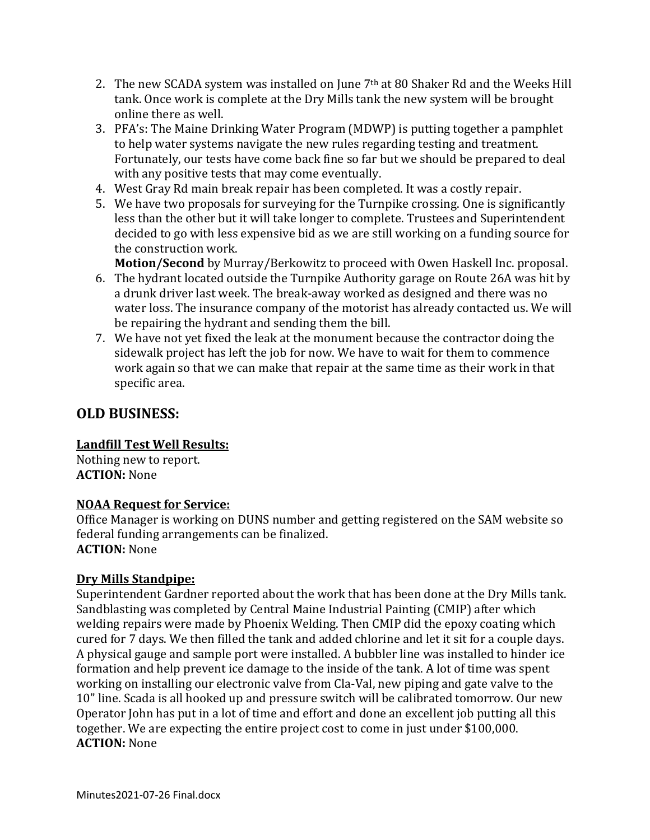- 2. The new SCADA system was installed on June  $7<sup>th</sup>$  at 80 Shaker Rd and the Weeks Hill tank. Once work is complete at the Dry Mills tank the new system will be brought online there as well.
- 3. PFA's: The Maine Drinking Water Program (MDWP) is putting together a pamphlet to help water systems navigate the new rules regarding testing and treatment. Fortunately, our tests have come back fine so far but we should be prepared to deal with any positive tests that may come eventually.
- 4. West Gray Rd main break repair has been completed. It was a costly repair.
- 5. We have two proposals for surveying for the Turnpike crossing. One is significantly less than the other but it will take longer to complete. Trustees and Superintendent decided to go with less expensive bid as we are still working on a funding source for the construction work.

**Motion/Second** by Murray/Berkowitz to proceed with Owen Haskell Inc. proposal.

- 6. The hydrant located outside the Turnpike Authority garage on Route 26A was hit by a drunk driver last week. The break-away worked as designed and there was no water loss. The insurance company of the motorist has already contacted us. We will be repairing the hydrant and sending them the bill.
- 7. We have not yet fixed the leak at the monument because the contractor doing the sidewalk project has left the job for now. We have to wait for them to commence work again so that we can make that repair at the same time as their work in that specific area.

# **OLD BUSINESS:**

#### **Landfill Test Well Results:**

Nothing new to report. **ACTION:** None

#### **NOAA Request for Service:**

Office Manager is working on DUNS number and getting registered on the SAM website so federal funding arrangements can be finalized. **ACTION:** None

#### **Dry Mills Standpipe:**

Superintendent Gardner reported about the work that has been done at the Dry Mills tank. Sandblasting was completed by Central Maine Industrial Painting (CMIP) after which welding repairs were made by Phoenix Welding. Then CMIP did the epoxy coating which cured for 7 days. We then filled the tank and added chlorine and let it sit for a couple days. A physical gauge and sample port were installed. A bubbler line was installed to hinder ice formation and help prevent ice damage to the inside of the tank. A lot of time was spent working on installing our electronic valve from Cla-Val, new piping and gate valve to the 10" line. Scada is all hooked up and pressure switch will be calibrated tomorrow. Our new Operator John has put in a lot of time and effort and done an excellent job putting all this together. We are expecting the entire project cost to come in just under \$100,000. **ACTION:** None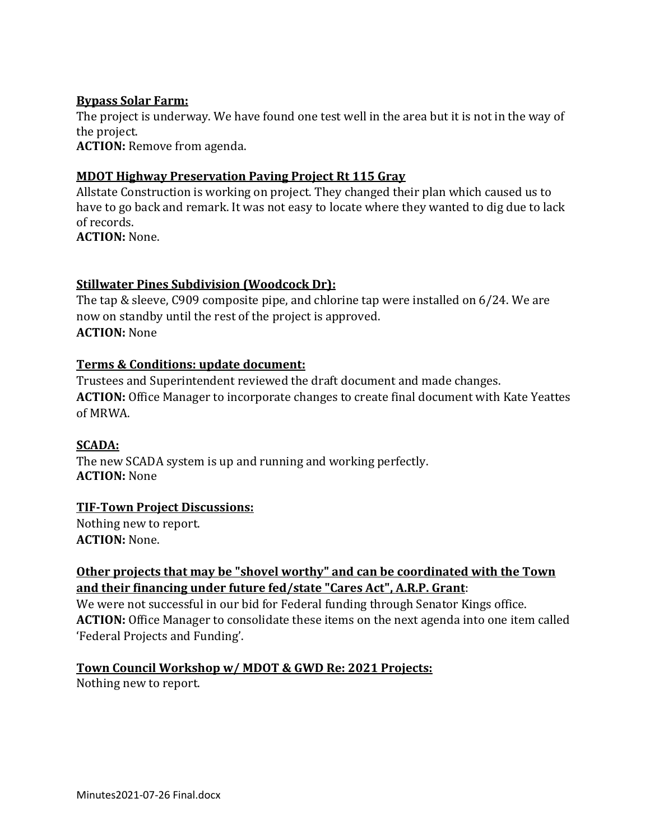### **Bypass Solar Farm:**

The project is underway. We have found one test well in the area but it is not in the way of the project.

**ACTION:** Remove from agenda.

### **MDOT Highway Preservation Paving Project Rt 115 Gray**

Allstate Construction is working on project. They changed their plan which caused us to have to go back and remark. It was not easy to locate where they wanted to dig due to lack of records.

**ACTION:** None.

## **Stillwater Pines Subdivision (Woodcock Dr):**

The tap & sleeve, C909 composite pipe, and chlorine tap were installed on 6/24. We are now on standby until the rest of the project is approved. **ACTION:** None

### **Terms & Conditions: update document:**

Trustees and Superintendent reviewed the draft document and made changes. **ACTION:** Office Manager to incorporate changes to create final document with Kate Yeattes of MRWA.

#### **SCADA:**

The new SCADA system is up and running and working perfectly. **ACTION:** None

#### **TIF-Town Project Discussions:**

Nothing new to report. **ACTION:** None.

## **Other projects that may be "shovel worthy" and can be coordinated with the Town and their financing under future fed/state "Cares Act", A.R.P. Grant**:

We were not successful in our bid for Federal funding through Senator Kings office. **ACTION:** Office Manager to consolidate these items on the next agenda into one item called 'Federal Projects and Funding'.

## **Town Council Workshop w/ MDOT & GWD Re: 2021 Projects:**

Nothing new to report.